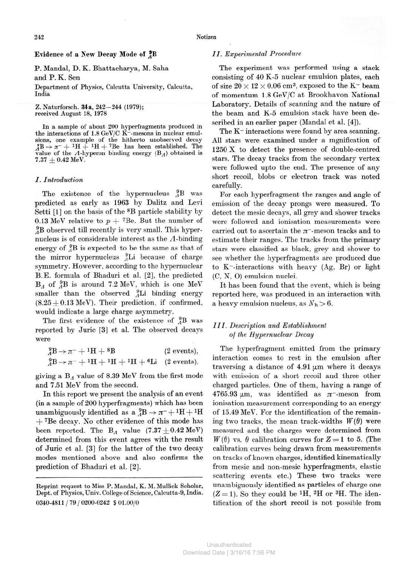# Evidence of a New Decay Mode of  $^{9}_{4}B$

P. Mandal, D. K. Bhattacharya, M. Saha and P. K. Sen

**Department of Physics, Calcutta University, Calcutta, India** 

**Z. Naturforsch. 34a, 242-244 (1979); received August 18, 1978** 

**In a sample of about 200 hyperfragments produced in the interactions of 1.8 GeV/C K~-mesons in nuclear emulsions, one example of the hitherto unobserved decay**   $\chi$ <sup>B</sup>  $\rightarrow \pi$ <sup>-</sup> + <sup>1</sup>H + <sup>1</sup>H + <sup>7</sup>Be has been established. The **value of the**  $\Lambda$ **-hyperon binding energy (B** $_{\Lambda}$ ) obtained is  $7.37 + 0.42$  MeV.

## *I. Introduction*

The existence of the hypernucleus  $^{9}_{4}B$  was predicted as early as 1963 by Dalitz and Levi Setti [1] on the basis of the <sup>8</sup>B particle stability by 0.13 MeV relative to  $p + 7$ Be. But the number of  ${}^{9}_{4}B$  observed till recently is very small. This hypernucleus is of considerable interest as the  $\Lambda$ -binding energy of  $^{9}_{4}B$  is expected to be the same as that of the mirror hypernucleus  ${}_{4}^{9}Li$  because of charge symmetry. However, according to the hypernuclear B.E. formula of Bhaduri et al. [2], the predicted  $B_A$  of  $^{9}_{4}B$  is around 7.2 MeV, which is one MeV smaller than the observed  $_{A}^{9}Li$  binding energy  $(8.25 \pm 0.13 \text{ MeV})$ . Their prediction, if confirmed, would indicate a large charge asymmetry.

The first evidence of the existence of  $^{9}_{4}B$  was reported by Juric [3] et al. The observed decays were

| $^{9}_{A}B \rightarrow \pi^{-} + ^{1}\text{H} + ^{8}\text{B}$                          | $(2 \text{ events}),$ |  |  |
|----------------------------------------------------------------------------------------|-----------------------|--|--|
| ${}^{9}_{A}B \rightarrow \pi^{-} + {}^{1}H + {}^{1}H + {}^{1}H + {}^{6}Li$ (2 events), |                       |  |  |

giving a  $B_A$  value of 8.39 MeV from the first mode and 7.51 MeV from the second.

In this report we present the analysis of an event (in a sample of 200 hyperfragments) which has been unambiguously identified as a  $^{9}_{4}B \rightarrow \pi^{-} + ^{1}H + ^{1}H$  $+$  7Be decay. No other evidence of this mode has been reported. The B<sub>A</sub> value  $(7.37 \pm 0.42 \text{ MeV})$ determined from this event agrees with the result of Juric et al. [3] for the latter of the two decay modes mentioned above and also confirms the prediction of Bhaduri et al. [2].

# *II. Experimental Procedure*

The experiment was performed using a stack consisting of 40 K-5 nuclear emulsion plates, each of size  $20 \times 12 \times 0.06$  cm<sup>3</sup>, exposed to the K<sup>-</sup> beam of momentum 1.8 GeV/C at Brookhavon National Laboratory. Details of scanning and the nature of the beam and K-5 emulsion stack have been described in an earlier paper (Mandal et al. [4]).

The K<sup>-</sup> interactions were found by area scanning. All stars were examined under a mgnification of 1250 X to detect the presence of double-centred stars. The decay tracks from the secondary vertex were followed upto the end. The presence of any short recoil, blobs or electron track was noted carefully.

For each hyperfragment the ranges and angle of emission of the decay prongs were measured. To detect the mesic decays, all grey and shower tracks were followed and ionisation measurements were carried out to ascertain the  $\pi$ <sup>-</sup>-meson tracks and to estimate their ranges. The tracks from the primary stars were classified as black, grey and shower to see whether the hyperfragments are produced due to K~-interactions with heavy (Ag, Br) or light (C, N, 0) emulsion nuclei.

It has been found that the event, which is being reported here, was produced in an interaction with a heavy emulsion nucleus, as  $N_h > 6$ .

# *III. Description and Establishment of the Hypernuclear Decay*

The hyperfragment emitted from the primary interaction comes to rest in the emulsion after traversing a distance of  $4.91 \mu m$  where it decays with emission of a short recoil and three other charged particles. One of them, having a range of 4765.93  $\mu$ m, was identified as  $\pi$ -meson from ionisation measurement corresponding to an energy of 15.49 MeV. For the identification of the remaining two tracks, the mean track-widths  $W(\theta)$  were measured and the charges were determined from  $W(\theta)$  vs.  $\theta$  calibration curves for  $Z = 1$  to 5. (The calibration curves being drawn from measurements on tracks of known charges, identified kinematically from mesic and non-mesic hyperfragments, elastic scattering events etc.) These two tracks were unambiguously identified as particles of charge one  $(Z=1)$ . So they could be <sup>1</sup>H, <sup>2</sup>H or <sup>3</sup>H. The identification of the short recoil is not possible from

**Reprint request to Miss P. Mandal, K. M. Mullick Scholar, Dept. of Physics, Univ. College of Science, Calcutta-9, India.**  0340-4811 j 79 / 0200-0242 5 01.00/0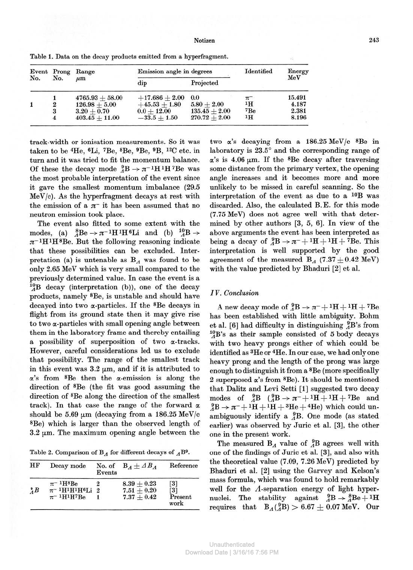#### Notizen 243

| No. | Event Prong<br>No.      | Range<br>$\mu$ m  | Emission angle in degrees | Identified      | Energy  |        |
|-----|-------------------------|-------------------|---------------------------|-----------------|---------|--------|
|     |                         |                   | dip                       | Projected       |         | MeV    |
|     |                         | $4765.93 + 58.00$ | $+17.686 + 2.00$          | 0.0             | $\pi^-$ | 15.491 |
| 1   | $\boldsymbol{2}$        | $126.98 + 5.00$   | $+45.53 + 1.80$           | $5.80+2.00$     | 1H      | 4.187  |
|     | 3                       | $3.20 + 0.70$     | $0.0 + 12.00$             | $135.45 + 2.00$ | 7Be     | 2.381  |
|     | $\overline{\mathbf{4}}$ | $403.45 + 11.00$  | $-33.5 + 1.50$            | $270.72 + 2.00$ | 1H      | 8.196  |

**Table 1. Data on the decay products emitted from a hyperfragment.** 

track-width or ionisation measurements. So it was taken to be <sup>4</sup>He, <sup>6</sup>Li, 'Be, <sup>8</sup>Be, »Be, <sup>9</sup>B, <sup>12</sup>C etc. in turn and it was tried to fit the momentum balance. Of these the decay mode  ${}^{9}_{4}B \rightarrow \pi^{-1}H^{1}H^{7}Be$  was the most probable interpretation of the event since it gave the smallest momentum imbalance (29.5 MeV/c). As the hyperfragment decays at rest with the emission of a  $\pi^-$  it has been assumed that no neutron emission took place.

The event also fitted to some extent with the modes, (a)  $_{A}^{8}Be \rightarrow \pi^{-1}H^{1}H^{6}Li$  and (b)  $_{A}^{10}B \rightarrow$  $\pi$ <sup>-1</sup>H<sup>1</sup>H<sup>8</sup>Be. But the following reasoning indicate that these possibilities can be excluded. Interpretation (a) is untenable as  $B_A$  was found to be only 2.65 MeV which is very small compared to the previously determined value. In case the event is a  $^{10}_{4}$ B decay (interpretation (b)), one of the decay products, namely 8Be, is unstable and should have decayed into two a-particles. If the <sup>8</sup>Be decays in flight from its ground state then it may give rise to two a-particles with small opening angle between them in the laboratory frame and thereby entailing a possibility of superposition of two a-tracks. However, careful considerations led us to exclude that possibility. The range of the smallest track in this event was  $3.2 \mu m$ , and if it is attributed to  $\alpha$ 's from <sup>8</sup>Be then the  $\alpha$ -emission is along the direction of <sup>8</sup>Be (the fit was good assuming the direction of <sup>8</sup>Be along the direction of the smallest track). In that case the range of the forward  $\alpha$ should be 5.69  $\mu$ m (decaying from a 186.25 MeV/c <sup>8</sup>Be) which is larger than the observed length of  $3.2 \mu m$ . The maximum opening angle between the

| Table 2. Comparison of $B_A$ for different decays of $_A B^9$ . |  |  |  |  |  |  |  |  |  |  |  |
|-----------------------------------------------------------------|--|--|--|--|--|--|--|--|--|--|--|
|-----------------------------------------------------------------|--|--|--|--|--|--|--|--|--|--|--|

| HF              | Decay mode                                                                                                                | No. of<br>Events | $B_A \pm AB_A$                 | Reference                |
|-----------------|---------------------------------------------------------------------------------------------------------------------------|------------------|--------------------------------|--------------------------|
| $^{\circ}_{A}B$ | $\pi$ <sup>-1</sup> H <sup>8</sup> Be<br>$\pi$ <sup>-1</sup> H <sup>1</sup> H <sup>1</sup> H <sup>6</sup> Li <sub>2</sub> | 9                | $8.39 + 0.23$<br>$7.51 + 0.20$ | [3]<br>$\lceil 3 \rceil$ |
|                 | $\pi$ <sup>-1</sup> H <sup>1</sup> H <sup>7</sup> Be                                                                      |                  | $7.37 + 0.42$                  | Present<br>work          |

two a's decaying from a 186.25 MeV/c <sup>8</sup>Be in laboratory is 23.5° and the corresponding range of  $\alpha$ 's is 4.06  $\mu$ m. If the <sup>8</sup>Be decay after traversing some distance from the primary vertex, the opening angle increases and it becomes more and more unlikely to be missed in careful scanning. So the interpretation of the event as due to a 10B was discarded. Also, the calculated B.E. for this mode (7.75 MeV) does not agree well with that determined by other authors [3, 5, 6]. In view of the above arguments the event has been interpreted as being a decay of  ${}_{4}^{9}B \rightarrow \pi^{-} + {}^{1}H + {}^{1}H + {}^{7}Be$ . This interpretation is well supported by the good agreement of the measured B<sub>A</sub> (7.37  $\pm$  0.42 MeV) with the value predicted by Bhaduri [2] et al.

## *IV. Conclusion*

A new decay mode of  ${}_{A}^{9}B \rightarrow \pi^{-} + {}^{1}H + {}^{1}H + {}^{7}Be$ has been established with little ambiguity. Bohm et al. [6] had difficulty in distinguishing  $^{9}_{A}B$ 's from  $^{10}_{\Lambda}$ B's as their sample consisted of 5 body decays with two heavy prongs either of which could be identified as <sup>3</sup>He or <sup>4</sup>He. In our case, we had only one heavy prong and the length of the prong was large enough to distinguish it from a 8Be (more specifically 2 superposed  $\alpha$ 's from  $B$ e). It should be mentioned that Dalitz and Levi Setti [1] suggested two decay modes of  $^{9}_{A}B$  ( $^{9}_{A}B \rightarrow \pi^{-}+1H+1H+7Be$  and  ${}^{9}_{4}B \rightarrow \pi^- + {}^{1}H + {}^{1}H + {}^{3}He + {}^{4}He$ ) which could unambiguously identify a  ${}_{4}^{9}B$ . One mode (as stated earlier) was observed by Juric et al. [3], the other one in the present work.

The measured  $B_A$  value of  $^{9}_{A}B$  agrees well with one of the findings of Juric et al. [3], and also with the theoretical value (7.09, 7.26 MeV) predicted by Bhaduri et al. [2] using the Garvey and Kelson's mass formula, which was found to hold remarkably well for the *A-*separation energy of light hypernuclei. The stability against  ${}^{9}_{A}B \rightarrow {}^{8}_{A}Be + {}^{1}\text{H}$ requires that  $B_A(^{9}_{A}B) > 6.67 \pm 0.07$  MeV. Our